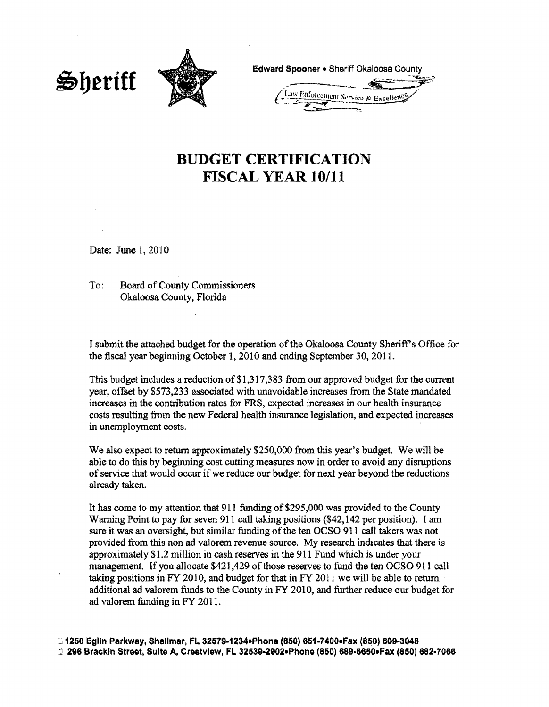



Edward Spooner . Sheriff Okaloosa County **Enforcement Service & Excelley** 

## **BUDGET CERTIFICATION FISCAL YEAR 10/11**

Date: June 1, 2010

To: Board of County Commissioners Okaloosa County, Florida

I submit the attached budget for the operation ofthe Okaloosa County Sheriffs Office for the fiscal year beginning October 1, 2010 and ending September 30, 2011.

This budget includes a reduction of\$1,317,383 from our approved budget for the current year, offset by \$573,233 associated with unavoidable increases from the State mandated increases in the contribution rates for FRS, expected increases in our health insurance costs resulting from the new Federal health insurance legislation, and expected increases in unemployment costs.

We also expect to return approximately \$250,000 from this year's budget. We will be able to do this by beginning cost cutting measures now in order to avoid any disruptions of service that would occur if we reduce our budget for next year beyond the reductions already taken.

It has come to my attention that 911 funding of\$295,000 was provided to the County Warning Point to pay for seven 911 call taking positions {\$42,142 per position). I am sure it was an oversight, but similar funding of the ten OCSO 911 call takers was not provided from this non ad valorem revenue source. My research indicates that there is approximately \$1.2 million in cash reserves in the 911 Fund which is under your management. If you allocate \$421,429 ofthose reserves to fund the ten OCSO 911 call taking positions in FY 2010, and budget for that in FY 2011 we will be able to return additional ad valorem funds to the County in FY 2010, and further reduce our budget for ad valorem funding in FY 2011.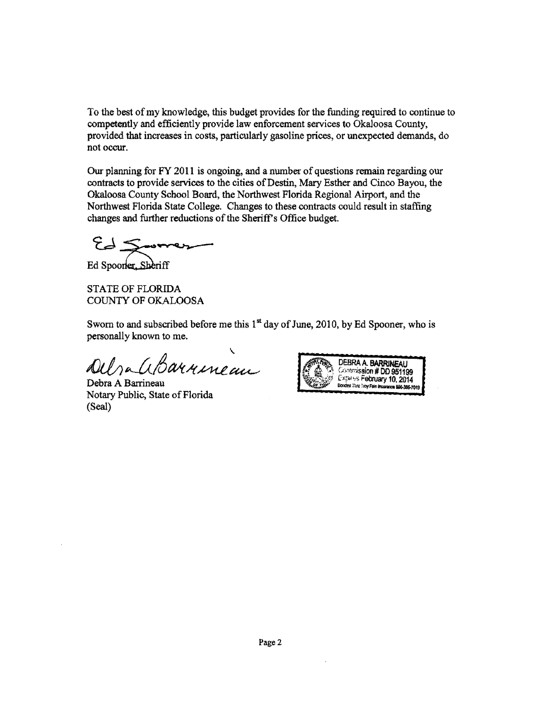To the best of my knowledge, this budget provides for the funding required to continue to competently and efficiently provide law enforcement services to Okaloosa County, provided that increases in costs, particularly gasoline prices, or unexpected demands, do not occur.

Our planning for FY 2011 is ongoing, and a number of questions remain regarding our contracts to provide services to the cities of Destin, Mary Esther and Cinco Bayou, the Okaloosa County School Board, the Northwest Florida Regional Airport, and the Northwest Florida State College. Changes to these contracts could result in staffing changes and further reductions of the Sheriff's Office budget.

Vorthwest Florida State College. C<br>hanges and further reductions of the<br>Engineering Scheriff

Ed Spooner. Sheriff

STATE OF FLORIDA COUNTY OF OKALOOSA

Sworn to and subscribed before me this  $1<sup>st</sup>$  day of June, 2010, by Ed Spooner, who is personally known to me.

\ *~~.£<-1fJMk~~* 

Debra A Barrineau Notary Public, State of Florida (Seal)

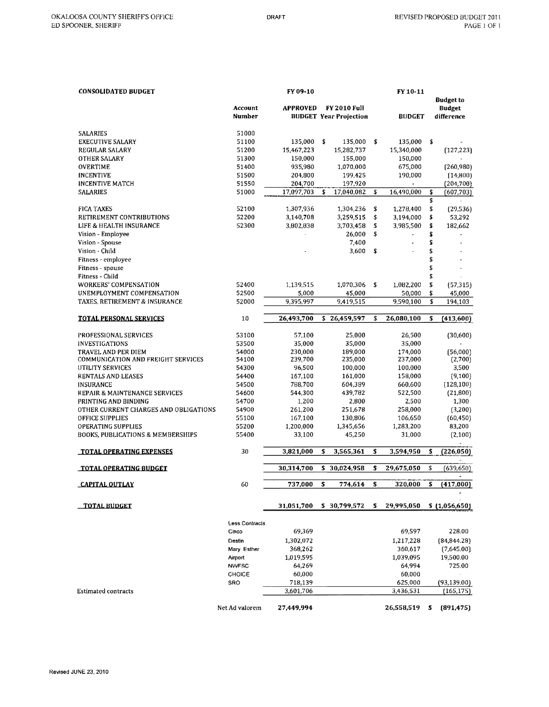| <b>CONSOLIDATED BUDGET</b>                   |                       | FY 09-10        |     |                               |    | FY 10-11             |                                   |
|----------------------------------------------|-----------------------|-----------------|-----|-------------------------------|----|----------------------|-----------------------------------|
|                                              | Account               | <b>APPROVED</b> |     | <b>FY 2010 Full</b>           |    |                      | <b>Budget to</b><br><b>Budget</b> |
|                                              | Number                |                 |     | <b>BUDGET Year Projection</b> |    | <b>BUDGET</b>        | difference                        |
|                                              |                       |                 |     |                               |    |                      |                                   |
| <b>SALARIES</b><br><b>EXECUTIVE SALARY</b>   | 51000<br>51100        | 135,000         | -\$ | 135,000                       | \$ | 135,000              | \$                                |
| <b>REGULAR SALARY</b>                        | 51200                 | 15,467,223      |     | 15,282,737                    |    | 15,340,000           | (127, 223)                        |
| <b>OTHER SALARY</b>                          | 51300                 | 150,000         |     | 155,000                       |    | 150,000              |                                   |
| <b>OVERTIME</b>                              | 51400                 | 935,980         |     | 1,070,000                     |    | 675,000              | (260, 980)                        |
| <b>INCENTIVE</b>                             | 51500                 | 204,800         |     | 199,425                       |    | 190,000              | (14, 800)                         |
| <b>INCENTIVE MATCH</b>                       | 51550                 | 204,700         |     | 197,920                       |    |                      | (204, 700)                        |
| <b>SALARIES</b>                              | 51000                 | 17,097,703      | \$  | 17,040,082                    | \$ | 16,490,000           | \$<br>(607,703)                   |
|                                              |                       |                 |     |                               |    |                      | \$                                |
| <b>FICA TAXES</b>                            | 52100                 | 1,307,936       |     | 1,304,236                     | \$ | 1,278,400            | \$<br>(29, 536)                   |
| RETIREMENT CONTRIBUTIONS                     | 52200                 | 3,140,708       |     | 3,259,515                     | \$ | 3,194,000            | \$<br>53,292                      |
| LIFE & HEALTH INSURANCE                      | 52300                 | 3,802,838       |     | 3,703,458                     | \$ | 3.985,500            | \$<br>182,662                     |
| Vision - Employee                            |                       |                 |     | 26,000                        | \$ | $\ddot{\phantom{a}}$ | \$                                |
| Vision - Spouse                              |                       |                 |     | 7,400                         |    |                      | \$                                |
| Vision - Child                               |                       |                 |     | 3,600                         | \$ |                      | \$                                |
| Fitness - employee                           |                       |                 |     |                               |    |                      | \$                                |
| Fitness - spouse                             |                       |                 |     |                               |    |                      | \$                                |
| Fitness - Child                              |                       |                 |     |                               |    |                      | \$                                |
| <b>WORKERS' COMPENSATION</b>                 | 52400                 | 1,139,515       |     | 1,070,306                     | \$ | 1,082,200            | \$<br>(57, 315)                   |
| UNEMPLOYMENT COMPENSATION                    | 52500                 | 5,000           |     | 45,000                        |    | 50,000               | \$<br>45,000                      |
| TAXES, RETIREMENT & INSURANCE                | 52000                 | 9,395,997       |     | 9.419.515                     |    | 9,590,100            | \$<br>194,103                     |
|                                              |                       |                 |     |                               |    |                      |                                   |
| <b>TOTAL PERSONAL SERVICES</b>               | 10                    | 26,493,700      | \$  | 26,459,597                    | \$ | 26,080,100           | \$<br>(413,600)                   |
| PROFESSIONAL SERVICES                        | 53100                 | 57,100          |     | 25,000                        |    | 26,500               | (30,600)                          |
| <b>INVESTIGATIONS</b>                        | 53500                 | 35,000          |     | 35,000                        |    | 35,000               |                                   |
| TRAVEL AND PER DIEM                          | 54000                 | 230,000         |     | 189,000                       |    | 174,000              | (56,000)                          |
| <b>COMMUNICATION AND FREIGHT SERVICES</b>    | 54100                 | 239,700         |     | 235,000                       |    | 237,000              | (2,700)                           |
| UTILITY SERVICES                             | 54300                 | 96,500          |     | 100,000                       |    | 100,000              | 3,500                             |
| RENTALS AND LEASES                           | 54400                 | 167,100         |     | 161,000                       |    | 158,000              | (9,100)                           |
| <b>INSURANCE</b>                             | 54500                 | 788,700         |     | 604,389                       |    | 660,600              | (128, 100)                        |
| REPAIR & MAINTENANCE SERVICES                | 54600                 | 544,300         |     | 439,782                       |    | 522,500              | (21, 800)                         |
| PRINTING AND BINDING                         | 54700                 | 1,200           |     | 2,800                         |    | 2,500                | 1,300                             |
| OTHER CURRENT CHARGES AND OBLIGATIONS        | 54900                 | 261,200         |     | 251,678                       |    | 258,000              | (3,200)                           |
| OFFICE SUPPLIES                              | 55100                 | 167,100         |     | 130,806                       |    | 106,650              | (60, 450)                         |
| <b>OPERATING SUPPLIES</b>                    | 55200                 | 1,200,000       |     | 1,345,656                     |    | 1,283,200            | 83,200                            |
| <b>BOOKS, PUBLICATIONS &amp; MEMBERSHIPS</b> | 55400                 | 33,100          |     | 45,250                        |    | 31,000               | (2,100)                           |
| <b>TOTAL OPERATING EXPENSES</b>              | 30                    | 3,821,000       | \$  | 3,565,361                     | \$ | 3,594,950            | \$<br>(226, 050)                  |
|                                              |                       |                 |     |                               |    |                      |                                   |
| <b>TOTAL OPERATING BUDGET</b>                |                       | 30,314,700      | \$  | 30,024,958                    | \$ | 29,675,050           | \$<br>(639, 650)                  |
| <b>CAPITAL OUTLAY</b>                        | 60                    | 737,000         | \$  | 774,614                       | \$ | 320,000              | (417,000)                         |
| <b>TOTAL BUDGET</b>                          |                       | 31,051,700      |     | \$30,799,572                  | s. | 29,995,050           | \$ (1,056,650)                    |
|                                              |                       |                 |     |                               |    |                      |                                   |
|                                              | <b>Less Contracts</b> |                 |     |                               |    |                      |                                   |
|                                              | Cinco                 | 69,369          |     |                               |    | 69,597               | 228.00                            |
|                                              | Destin                | 1,302,072       |     |                               |    | 1,217,228            | (84, 844.28)                      |
|                                              | Mary Esther           | 368,262         |     |                               |    | 360,617              | (7,645.00)                        |
|                                              | <b>Airport</b>        | 1,019,595       |     |                               |    | 1,039,095            | 19,500.00                         |
|                                              | <b>NWFSC</b>          | 64,269          |     |                               |    | 64,994               | 725.00                            |
|                                              | CHOICE                | 60,000          |     |                               |    | 60,000               |                                   |
|                                              | SRO                   | 718,139         |     |                               |    | 625,000              | (93, 139.00)                      |
| Estimated contracts                          |                       | 3,601,706       |     |                               |    | 3,436,531            | (165, 175)                        |
|                                              | Net Ad valorem        | 27,449,994      |     |                               |    | 26,558,519           | \$<br>(891, 475)                  |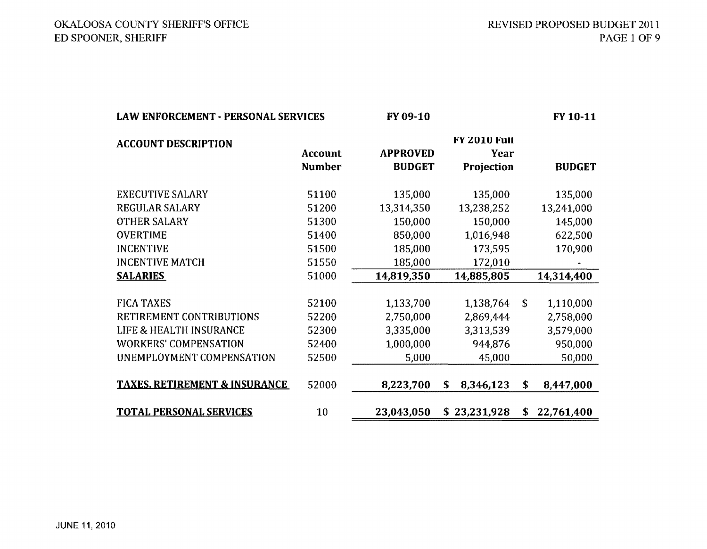## OKALOOSA COUNTY SHERJFF'S OFFICE ED SPOONER, SHERJFF

| <b>LAW ENFORCEMENT - PERSONAL SERVICES</b> |                                 | FY 09-10                         |                                    | FY 10-11 |               |  |
|--------------------------------------------|---------------------------------|----------------------------------|------------------------------------|----------|---------------|--|
| <b>ACCOUNT DESCRIPTION</b>                 | <b>Account</b><br><b>Number</b> | <b>APPROVED</b><br><b>BUDGET</b> | FY 2010 Full<br>Year<br>Projection |          | <b>BUDGET</b> |  |
| <b>EXECUTIVE SALARY</b>                    | 51100                           | 135,000                          | 135,000                            |          | 135,000       |  |
| REGULAR SALARY                             | 51200                           | 13,314,350                       | 13,238,252                         |          | 13,241,000    |  |
| <b>OTHER SALARY</b>                        | 51300                           | 150,000                          | 150,000                            |          | 145,000       |  |
| <b>OVERTIME</b>                            | 51400                           | 850,000                          | 1,016,948                          |          | 622,500       |  |
| <b>INCENTIVE</b>                           | 51500                           | 185,000                          | 173,595                            |          | 170,900       |  |
| <b>INCENTIVE MATCH</b>                     | 51550                           | 185,000                          | 172,010                            |          |               |  |
| <b>SALARIES</b>                            | 51000                           | 14,819,350                       | 14,885,805                         |          | 14,314,400    |  |
| <b>FICA TAXES</b>                          | 52100                           | 1,133,700                        | 1,138,764                          | \$       | 1,110,000     |  |
| RETIREMENT CONTRIBUTIONS                   | 52200                           | 2,750,000                        | 2,869,444                          |          | 2,758,000     |  |
| LIFE & HEALTH INSURANCE                    | 52300                           | 3,335,000                        | 3,313,539                          |          | 3,579,000     |  |
| <b>WORKERS' COMPENSATION</b>               | 52400                           | 1,000,000                        | 944,876                            |          | 950,000       |  |
| UNEMPLOYMENT COMPENSATION                  | 52500                           | 5,000                            | 45,000                             |          | 50,000        |  |
| <b>TAXES, RETIREMENT &amp; INSURANCE</b>   | 52000                           | 8,223,700                        | \$<br>8,346,123                    | \$       | 8,447,000     |  |
| <b>TOTAL PERSONAL SERVICES</b>             | 10                              | 23,043,050                       | 23,231,928<br>S.                   | S        | 22,761,400    |  |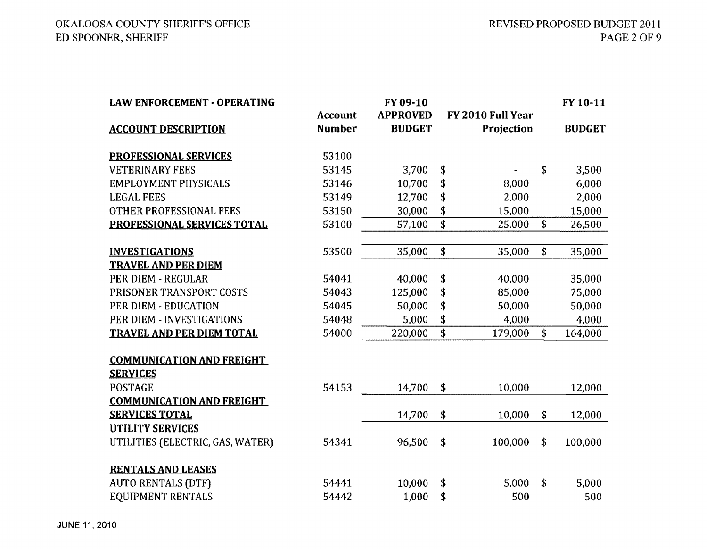| <b>LAW ENFORCEMENT - OPERATING</b> |                | FY 09-10        |                            |                    | FY 10-11      |
|------------------------------------|----------------|-----------------|----------------------------|--------------------|---------------|
|                                    | <b>Account</b> | <b>APPROVED</b> | FY 2010 Full Year          |                    |               |
| <b>ACCOUNT DESCRIPTION</b>         | <b>Number</b>  | <b>BUDGET</b>   | Projection                 |                    | <b>BUDGET</b> |
| <b>PROFESSIONAL SERVICES</b>       | 53100          |                 |                            |                    |               |
| <b>VETERINARY FEES</b>             | 53145          | 3,700           | \$                         | \$                 | 3,500         |
| <b>EMPLOYMENT PHYSICALS</b>        | 53146          | 10,700          | \$<br>8,000                |                    | 6,000         |
| <b>LEGAL FEES</b>                  | 53149          | 12,700          | \$<br>2,000                |                    | 2,000         |
| <b>OTHER PROFESSIONAL FEES</b>     | 53150          | 30,000          | \$<br>15,000               |                    | 15,000        |
| PROFESSIONAL SERVICES TOTAL        | 53100          | 57,100          | $\overline{\$}$<br>25,000  | \$                 | 26,500        |
| <b>INVESTIGATIONS</b>              | 53500          | 35,000          | $\overline{\$}$<br>35,000  | \$                 | 35,000        |
| <b>TRAVEL AND PER DIEM</b>         |                |                 |                            |                    |               |
| PER DIEM - REGULAR                 | 54041          | 40,000          | \$<br>40,000               |                    | 35,000        |
| PRISONER TRANSPORT COSTS           | 54043          | 125,000         | \$<br>85,000               |                    | 75,000        |
| PER DIEM - EDUCATION               | 54045          | 50,000          | \$<br>50,000               |                    | 50,000        |
| PER DIEM - INVESTIGATIONS          | 54048          | 5,000           | \$<br>4,000                |                    | 4,000         |
| <b>TRAVEL AND PER DIEM TOTAL</b>   | 54000          | 220,000         | $\overline{\$}$<br>179,000 | \$                 | 164,000       |
|                                    |                |                 |                            |                    |               |
| <b>COMMUNICATION AND FREIGHT</b>   |                |                 |                            |                    |               |
| <b>SERVICES</b>                    |                |                 |                            |                    |               |
| <b>POSTAGE</b>                     | 54153          | 14,700          | \$<br>10,000               |                    | 12,000        |
| <b>COMMUNICATION AND FREIGHT</b>   |                |                 |                            |                    |               |
| <b>SERVICES TOTAL</b>              |                | 14,700          | \$<br>10,000               | \$                 | 12,000        |
| <b>UTILITY SERVICES</b>            |                |                 |                            |                    |               |
| UTILITIES (ELECTRIC, GAS, WATER)   | 54341          | 96,500          | \$<br>100,000              | $\mathbf{\hat{S}}$ | 100,000       |
| <b>RENTALS AND LEASES</b>          |                |                 |                            |                    |               |
| <b>AUTO RENTALS (DTF)</b>          | 54441          | 10,000          | \$<br>5,000                | \$                 | 5,000         |
| EQUIPMENT RENTALS                  | 54442          | 1,000           | \$<br>500                  |                    | 500           |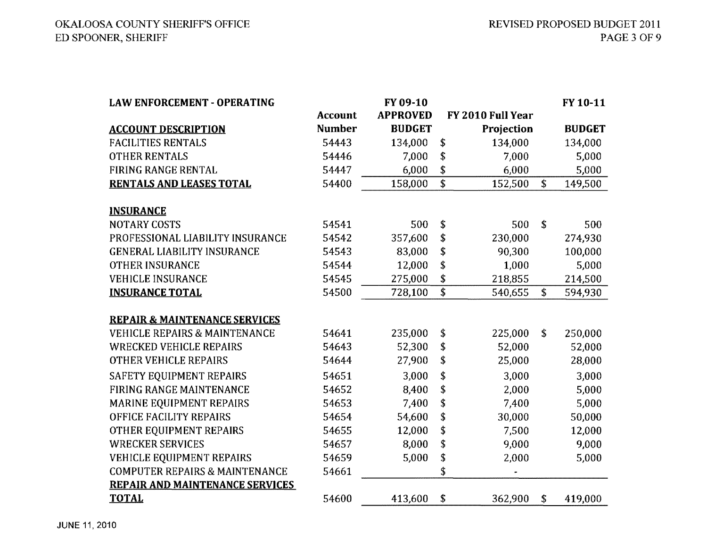| <b>LAW ENFORCEMENT - OPERATING</b>        |                | FY 09-10        |                                      |                   | FY 10-11      |
|-------------------------------------------|----------------|-----------------|--------------------------------------|-------------------|---------------|
|                                           | <b>Account</b> | <b>APPROVED</b> |                                      | FY 2010 Full Year |               |
| <b>ACCOUNT DESCRIPTION</b>                | <b>Number</b>  | <b>BUDGET</b>   |                                      | Projection        | <b>BUDGET</b> |
| <b>FACILITIES RENTALS</b>                 | 54443          | 134,000         | \$                                   | 134,000           | 134,000       |
| <b>OTHER RENTALS</b>                      | 54446          | 7,000           | \$                                   | 7,000             | 5,000         |
| FIRING RANGE RENTAL                       | 54447          | 6,000           | \$                                   | 6,000             | 5,000         |
| <b>RENTALS AND LEASES TOTAL</b>           | 54400          | 158,000         | $\overline{\boldsymbol{\mathsf{s}}}$ | 152,500           | \$<br>149,500 |
|                                           |                |                 |                                      |                   |               |
| <b>INSURANCE</b>                          |                |                 |                                      |                   |               |
| <b>NOTARY COSTS</b>                       | 54541          | 500             | \$                                   | 500<br>\$         | 500           |
| PROFESSIONAL LIABILITY INSURANCE          | 54542          | 357,600         | \$                                   | 230,000           | 274,930       |
| <b>GENERAL LIABILITY INSURANCE</b>        | 54543          | 83,000          | \$                                   | 90,300            | 100,000       |
| OTHER INSURANCE                           | 54544          | 12,000          | \$                                   | 1,000             | 5,000         |
| <b>VEHICLE INSURANCE</b>                  | 54545          | 275,000         | \$                                   | 218,855           | 214,500       |
| <b>INSURANCE TOTAL</b>                    | 54500          | 728,100         | $\overline{\mathfrak{s}}$            | 540,655           | \$<br>594,930 |
|                                           |                |                 |                                      |                   |               |
| <b>REPAIR &amp; MAINTENANCE SERVICES</b>  |                |                 |                                      |                   |               |
| <b>VEHICLE REPAIRS &amp; MAINTENANCE</b>  | 54641          | 235,000         | \$                                   | 225,000           | \$<br>250,000 |
| <b>WRECKED VEHICLE REPAIRS</b>            | 54643          | 52,300          | \$                                   | 52,000            | 52,000        |
| OTHER VEHICLE REPAIRS                     | 54644          | 27,900          | \$                                   | 25,000            | 28,000        |
| SAFETY EQUIPMENT REPAIRS                  | 54651          | 3,000           | \$                                   | 3,000             | 3,000         |
| FIRING RANGE MAINTENANCE                  | 54652          | 8,400           | \$                                   | 2,000             | 5,000         |
| MARINE EQUIPMENT REPAIRS                  | 54653          | 7,400           | \$                                   | 7,400             | 5,000         |
| OFFICE FACILITY REPAIRS                   | 54654          | 54,600          | \$                                   | 30,000            | 50,000        |
| OTHER EQUIPMENT REPAIRS                   | 54655          | 12,000          | \$                                   | 7,500             | 12,000        |
| <b>WRECKER SERVICES</b>                   | 54657          | 8,000           | \$                                   | 9,000             | 9,000         |
| <b>VEHICLE EQUIPMENT REPAIRS</b>          | 54659          | 5,000           | \$                                   | 2,000             | 5,000         |
| <b>COMPUTER REPAIRS &amp; MAINTENANCE</b> | 54661          |                 | \$                                   |                   |               |
| <b>REPAIR AND MAINTENANCE SERVICES</b>    |                |                 |                                      |                   |               |
| <b>TOTAL</b>                              | 54600          | 413,600         | \$                                   | 362,900<br>\$     | 419,000       |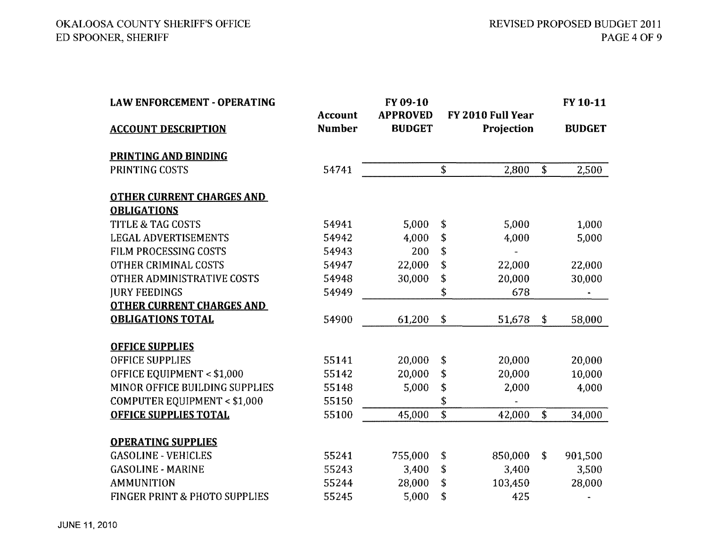| <b>LAW ENFORCEMENT - OPERATING</b> |                                 | FY 09-10                         |                                 |                    | FY 10-11      |
|------------------------------------|---------------------------------|----------------------------------|---------------------------------|--------------------|---------------|
| <b>ACCOUNT DESCRIPTION</b>         | <b>Account</b><br><b>Number</b> | <b>APPROVED</b><br><b>BUDGET</b> | FY 2010 Full Year<br>Projection |                    | <b>BUDGET</b> |
| <b>PRINTING AND BINDING</b>        |                                 |                                  |                                 |                    |               |
| PRINTING COSTS                     | 54741                           |                                  | \$<br>2,800                     | \$                 | 2,500         |
| <b>OTHER CURRENT CHARGES AND</b>   |                                 |                                  |                                 |                    |               |
| <b>OBLIGATIONS</b>                 |                                 |                                  |                                 |                    |               |
| <b>TITLE &amp; TAG COSTS</b>       | 54941                           | 5,000                            | \$<br>5,000                     |                    | 1,000         |
| <b>LEGAL ADVERTISEMENTS</b>        | 54942                           | 4,000                            | \$<br>4,000                     |                    | 5,000         |
| FILM PROCESSING COSTS              | 54943                           | 200                              | \$                              |                    |               |
| OTHER CRIMINAL COSTS               | 54947                           | 22,000                           | \$<br>22,000                    |                    | 22,000        |
| OTHER ADMINISTRATIVE COSTS         | 54948                           | 30,000                           | \$<br>20,000                    |                    | 30,000        |
| <b>JURY FEEDINGS</b>               | 54949                           |                                  | \$<br>678                       |                    |               |
| <b>OTHER CURRENT CHARGES AND</b>   |                                 |                                  |                                 |                    |               |
| <b>OBLIGATIONS TOTAL</b>           | 54900                           | 61,200                           | \$<br>51,678                    | \$                 | 58,000        |
| <b>OFFICE SUPPLIES</b>             |                                 |                                  |                                 |                    |               |
| <b>OFFICE SUPPLIES</b>             | 55141                           | 20,000                           | \$<br>20,000                    |                    | 20,000        |
| OFFICE EQUIPMENT < \$1,000         | 55142                           | 20,000                           | \$<br>20,000                    |                    | 10,000        |
| MINOR OFFICE BUILDING SUPPLIES     | 55148                           | 5,000                            | \$<br>2,000                     |                    | 4,000         |
| COMPUTER EQUIPMENT < \$1,000       | 55150                           |                                  | \$                              |                    |               |
| <b>OFFICE SUPPLIES TOTAL</b>       | 55100                           | 45,000                           | \$<br>42,000                    | $\mathbf{\hat{S}}$ | 34,000        |
| <b>OPERATING SUPPLIES</b>          |                                 |                                  |                                 |                    |               |
| <b>GASOLINE - VEHICLES</b>         | 55241                           | 755,000                          | \$<br>850,000                   | \$                 | 901,500       |
| <b>GASOLINE - MARINE</b>           | 55243                           | 3,400                            | \$<br>3,400                     |                    | 3,500         |
| <b>AMMUNITION</b>                  | 55244                           | 28,000                           | \$<br>103,450                   |                    | 28,000        |
| FINGER PRINT & PHOTO SUPPLIES      | 55245                           | 5,000                            | \$<br>425                       |                    |               |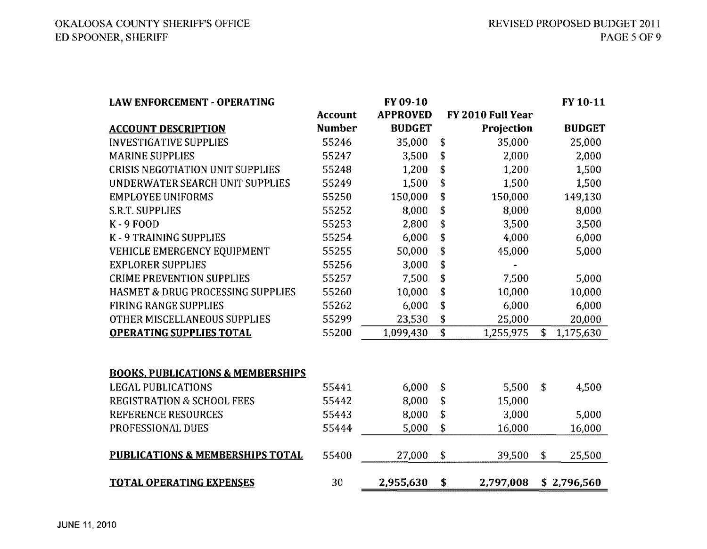| <b>LAW ENFORCEMENT - OPERATING</b>           |                | FY 09-10        |                   | FY 10-11        |
|----------------------------------------------|----------------|-----------------|-------------------|-----------------|
|                                              | <b>Account</b> | <b>APPROVED</b> | FY 2010 Full Year |                 |
| <b>ACCOUNT DESCRIPTION</b>                   | <b>Number</b>  | <b>BUDGET</b>   | Projection        | <b>BUDGET</b>   |
| <b>INVESTIGATIVE SUPPLIES</b>                | 55246          | 35,000          | \$<br>35,000      | 25,000          |
| <b>MARINE SUPPLIES</b>                       | 55247          | 3,500           | \$<br>2,000       | 2,000           |
| <b>CRISIS NEGOTIATION UNIT SUPPLIES</b>      | 55248          | 1,200           | \$<br>1,200       | 1,500           |
| UNDERWATER SEARCH UNIT SUPPLIES              | 55249          | 1,500           | \$<br>1,500       | 1,500           |
| <b>EMPLOYEE UNIFORMS</b>                     | 55250          | 150,000         | \$<br>150,000     | 149,130         |
| S.R.T. SUPPLIES                              | 55252          | 8,000           | \$<br>8,000       | 8,000           |
| $K - 9$ FOOD                                 | 55253          | 2,800           | \$<br>3,500       | 3,500           |
| K-9 TRAINING SUPPLIES                        | 55254          | 6,000           | \$<br>4,000       | 6,000           |
| VEHICLE EMERGENCY EQUIPMENT                  | 55255          | 50,000          | \$<br>45,000      | 5,000           |
| <b>EXPLORER SUPPLIES</b>                     | 55256          | 3,000           | \$                |                 |
| <b>CRIME PREVENTION SUPPLIES</b>             | 55257          | 7,500           | \$<br>7,500       | 5,000           |
| <b>HASMET &amp; DRUG PROCESSING SUPPLIES</b> | 55260          | 10,000          | \$<br>10,000      | 10,000          |
| <b>FIRING RANGE SUPPLIES</b>                 | 55262          | 6,000           | \$<br>6,000       | 6,000           |
| OTHER MISCELLANEOUS SUPPLIES                 | 55299          | 23,530          | \$<br>25,000      | 20,000          |
| <b>OPERATING SUPPLIES TOTAL</b>              | 55200          | 1,099,430       | \$<br>1,255,975   | \$<br>1,175,630 |
|                                              |                |                 |                   |                 |
| <b>BOOKS, PUBLICATIONS &amp; MEMBERSHIPS</b> |                |                 |                   |                 |
| <b>LEGAL PUBLICATIONS</b>                    | 55441          | 6,000           | \$<br>5,500       | \$<br>4,500     |
| <b>REGISTRATION &amp; SCHOOL FEES</b>        | 55442          | 8,000           | \$<br>15,000      |                 |
| <b>REFERENCE RESOURCES</b>                   | 55443          | 8,000           | \$<br>3,000       | 5,000           |
| PROFESSIONAL DUES                            | 55444          | 5,000           | \$<br>16,000      | 16,000          |
| <b>PUBLICATIONS &amp; MEMBERSHIPS TOTAL</b>  | 55400          | 27,000          | \$<br>39,500      | \$<br>25,500    |
| <b>TOTAL OPERATING EXPENSES</b>              | 30             | 2,955,630       | \$<br>2,797,008   | \$2,796,560     |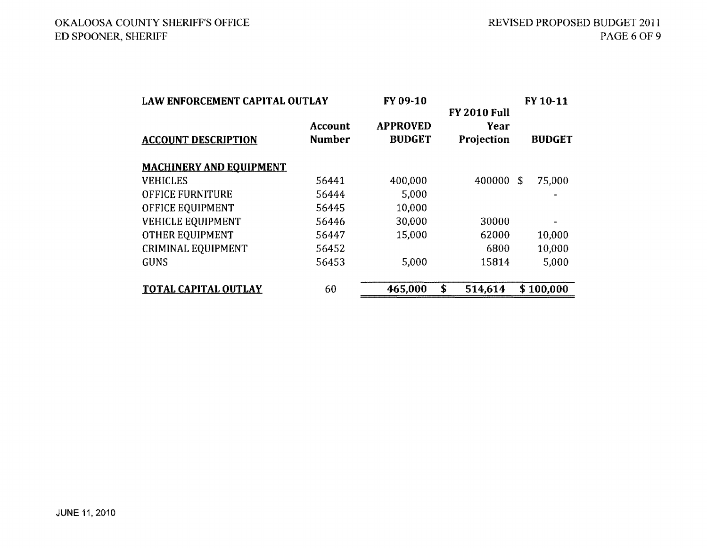| <b>LAW ENFORCEMENT CAPITAL OUTLAY</b> |                                 | FY 09-10                         |                                           | FY 10-11      |  |  |
|---------------------------------------|---------------------------------|----------------------------------|-------------------------------------------|---------------|--|--|
| <b>ACCOUNT DESCRIPTION</b>            | <b>Account</b><br><b>Number</b> | <b>APPROVED</b><br><b>BUDGET</b> | <b>FY 2010 Full</b><br>Year<br>Projection | <b>BUDGET</b> |  |  |
| <b>MACHINERY AND EQUIPMENT</b>        |                                 |                                  |                                           |               |  |  |
| <b>VEHICLES</b>                       | 56441                           | 400,000                          | 400000                                    | 75,000<br>\$  |  |  |
| <b>OFFICE FURNITURE</b>               | 56444                           | 5,000                            |                                           |               |  |  |
| OFFICE EQUIPMENT                      | 56445                           | 10,000                           |                                           |               |  |  |
| <b>VEHICLE EQUIPMENT</b>              | 56446                           | 30,000                           | 30000                                     |               |  |  |
| <b>OTHER EQUIPMENT</b>                | 56447                           | 15,000                           | 62000                                     | 10,000        |  |  |
| <b>CRIMINAL EQUIPMENT</b>             | 56452                           |                                  | 6800                                      | 10,000        |  |  |
| <b>GUNS</b>                           | 56453                           | 5,000                            | 15814                                     | 5,000         |  |  |
| <b>TOTAL CAPITAL OUTLAY</b>           | 60                              | 465,000                          | \$<br>514,614                             | \$100,000     |  |  |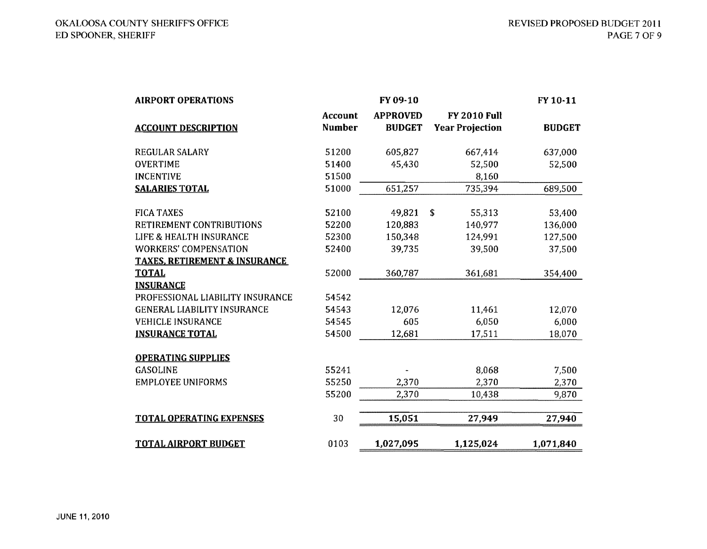| <b>AIRPORT OPERATIONS</b>                |               | FY 09-10        |                        | FY 10-11      |
|------------------------------------------|---------------|-----------------|------------------------|---------------|
|                                          | Account       | <b>APPROVED</b> | <b>FY 2010 Full</b>    |               |
| <b>ACCOUNT DESCRIPTION</b>               | <b>Number</b> | <b>BUDGET</b>   | <b>Year Projection</b> | <b>BUDGET</b> |
| <b>REGULAR SALARY</b>                    | 51200         | 605,827         | 667,414                | 637,000       |
| <b>OVERTIME</b>                          | 51400         | 45,430          | 52,500                 | 52,500        |
| <b>INCENTIVE</b>                         | 51500         |                 | 8,160                  |               |
| <b>SALARIES TOTAL</b>                    | 51000         | 651,257         | 735,394                | 689,500       |
| <b>FICA TAXES</b>                        | 52100         | 49,821          | \$<br>55,313           | 53,400        |
| RETIREMENT CONTRIBUTIONS                 | 52200         | 120,883         | 140,977                | 136,000       |
| LIFE & HEALTH INSURANCE                  | 52300         | 150,348         | 124.991                | 127,500       |
| <b>WORKERS' COMPENSATION</b>             | 52400         | 39,735          | 39,500                 | 37,500        |
| <b>TAXES, RETIREMENT &amp; INSURANCE</b> |               |                 |                        |               |
| <b>TOTAL</b>                             | 52000         | 360,787         | 361,681                | 354,400       |
| <b>INSURANCE</b>                         |               |                 |                        |               |
| PROFESSIONAL LIABILITY INSURANCE         | 54542         |                 |                        |               |
| <b>GENERAL LIABILITY INSURANCE</b>       | 54543         | 12,076          | 11,461                 | 12,070        |
| <b>VEHICLE INSURANCE</b>                 | 54545         | 605             | 6,050                  | 6,000         |
| <b>INSURANCE TOTAL</b>                   | 54500         | 12,681          | 17,511                 | 18,070        |
| <b>OPERATING SUPPLIES</b>                |               |                 |                        |               |
| <b>GASOLINE</b>                          | 55241         |                 | 8,068                  | 7,500         |
| <b>EMPLOYEE UNIFORMS</b>                 | 55250         | 2,370           | 2,370                  | 2,370         |
|                                          | 55200         | 2,370           | 10,438                 | 9,870         |
| <b>TOTAL OPERATING EXPENSES</b>          | 30            | 15,051          | 27,949                 | 27,940        |
| <b>TOTAL AIRPORT BUDGET</b>              | 0103          | 1,027,095       | 1,125,024              | 1,071,840     |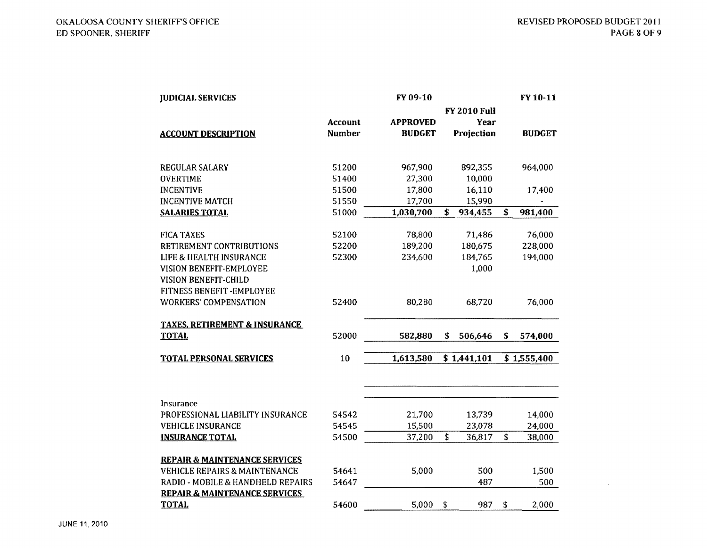| <b>JUDICIAL SERVICES</b>                 |               | FY 09-10        |                     |                         | FY 10-11      |
|------------------------------------------|---------------|-----------------|---------------------|-------------------------|---------------|
|                                          |               |                 | <b>FY 2010 Full</b> |                         |               |
|                                          | Account       | <b>APPROVED</b> | Year                |                         |               |
| <b>ACCOUNT DESCRIPTION</b>               | <b>Number</b> | <b>BUDGET</b>   | Projection          |                         | <b>BUDGET</b> |
|                                          |               |                 |                     |                         |               |
| REGULAR SALARY                           | 51200         | 967,900         | 892,355             |                         | 964,000       |
| <b>OVERTIME</b>                          | 51400         | 27,300          | 10,000              |                         |               |
| <b>INCENTIVE</b>                         | 51500         | 17,800          | 16,110              |                         | 17,400        |
| <b>INCENTIVE MATCH</b>                   | 51550         | 17,700          | 15,990              |                         |               |
| <b>SALARIES TOTAL</b>                    | 51000         | 1,030,700       | \$<br>934,455       | $\overline{\mathbf{3}}$ | 981,400       |
|                                          |               |                 |                     |                         |               |
| <b>FICA TAXES</b>                        | 52100         | 78,800          | 71,486              |                         | 76,000        |
| RETIREMENT CONTRIBUTIONS                 | 52200         | 189,200         | 180,675             |                         | 228,000       |
| LIFE & HEALTH INSURANCE                  | 52300         | 234,600         | 184,765             |                         | 194,000       |
| VISION BENEFIT-EMPLOYEE                  |               |                 | 1,000               |                         |               |
| VISION BENEFIT-CHILD                     |               |                 |                     |                         |               |
| FITNESS BENEFIT-EMPLOYEE                 |               |                 |                     |                         |               |
| <b>WORKERS' COMPENSATION</b>             | 52400         | 80,280          | 68,720              |                         | 76,000        |
| <b>TAXES, RETIREMENT &amp; INSURANCE</b> |               |                 |                     |                         |               |
| <b>TOTAL</b>                             | 52000         | 582,880         | \$<br>506,646       | \$                      | 574,000       |
| <b>TOTAL PERSONAL SERVICES</b>           | 10            | 1,613,580       | \$1,441,101         |                         | \$1,555,400   |
|                                          |               |                 |                     |                         |               |
|                                          |               |                 |                     |                         |               |
| Insurance                                |               |                 |                     |                         |               |
| PROFESSIONAL LIABILITY INSURANCE         | 54542         | 21,700          | 13,739              |                         | 14,000        |
| <b>VEHICLE INSURANCE</b>                 | 54545         | 15,500          | 23,078              |                         | 24,000        |
| <b>INSURANCE TOTAL</b>                   | 54500         | 37,200          | \$<br>36,817        | \$                      | 38,000        |
| <b>REPAIR &amp; MAINTENANCE SERVICES</b> |               |                 |                     |                         |               |
| <b>VEHICLE REPAIRS &amp; MAINTENANCE</b> | 54641         | 5,000           | 500                 |                         | 1,500         |
| RADIO - MOBILE & HANDHELD REPAIRS        | 54647         |                 | 487                 |                         | 500           |
| <b>REPAIR &amp; MAINTENANCE SERVICES</b> |               |                 |                     |                         |               |
| <b>TOTAL</b>                             | 54600         | 5,000           | \$<br>987           | \$                      | 2,000         |
|                                          |               |                 |                     |                         |               |